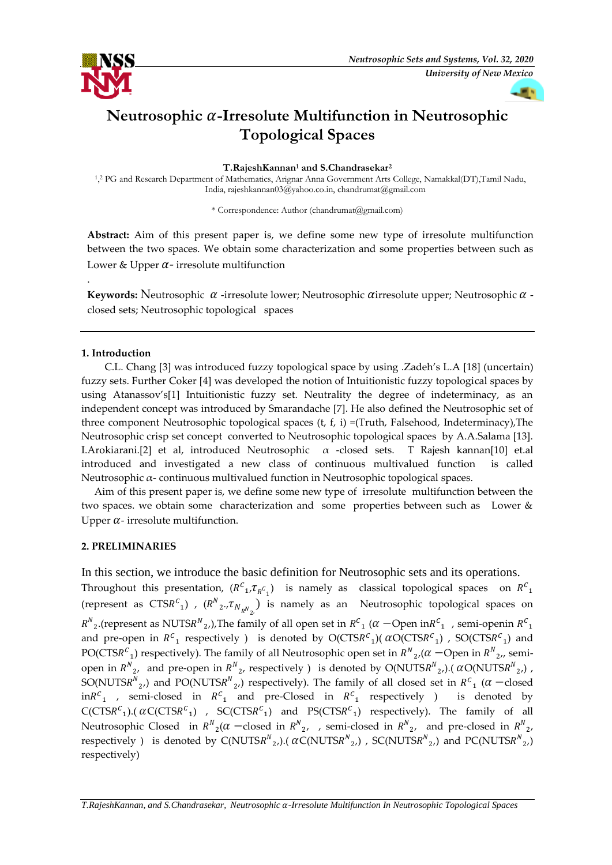

*University of New Mexico*

# **Neutrosophic -Irresolute Multifunction in Neutrosophic Topological Spaces**

**T.RajeshKannan<sup>1</sup> and S.Chandrasekar<sup>2</sup>**

1, <sup>2</sup> PG and Research Department of Mathematics, Arignar Anna Government Arts College, Namakkal(DT),Tamil Nadu, India, rajeshkannan03@yahoo.co.in[, chandrumat@gmail.com](mailto:chandrumat@gmail.com)

\* Correspondence: Author (chandrumat@gmail.com)

**Abstract:** Aim of this present paper is, we define some new type of irresolute multifunction between the two spaces. We obtain some characterization and some properties between such as Lower & Upper  $\alpha$ - irresolute multifunction

Keywords: Neutrosophic  $\alpha$  -irresolute lower; Neutrosophic  $\alpha$  irresolute upper; Neutrosophic  $\alpha$  closed sets; Neutrosophic topological spaces

### **1. Introduction**

.

 C.L. Chang [3] was introduced fuzzy topological space by using .Zadeh's L.A [18] (uncertain) fuzzy sets. Further Coker [4] was developed the notion of Intuitionistic fuzzy topological spaces by using Atanassov's[1] Intuitionistic fuzzy set. Neutrality the degree of indeterminacy, as an independent concept was introduced by Smarandache [7]. He also defined the Neutrosophic set of three component Neutrosophic topological spaces (t, f, i) =(Truth, Falsehood, Indeterminacy),The Neutrosophic crisp set concept converted to Neutrosophic topological spaces by A.A.Salama [13]. I.Arokiarani.[2] et al, introduced Neutrosophic  $\alpha$  -closed sets. T Rajesh kannan[10] et.al introduced and investigated a new class of continuous multivalued function is called Neutrosophic  $\alpha$ - continuous multivalued function in Neutrosophic topological spaces.

 Aim of this present paper is, we define some new type of irresolute multifunction between the two spaces. we obtain some characterization and some properties between such as Lower  $\&$ Upper  $\alpha$ - irresolute multifunction.

### **2. PRELIMINARIES**

In this section, we introduce the basic definition for Neutrosophic sets and its operations. Throughout this presentation,  $(R^{c_1}, \tau_{R^{c_1}})$  is namely as classical topological spaces on  $R^{c_1}$ (represent as  $CTSR^C_1$ ),  $(R^N_2, \tau_{N_R N_2})$  is namely as an Neutrosophic topological spaces on  $R^N{}_2.$ (represent as NUTS $R^N{}_2$ .),The family of all open set in  $R^{\mathcal{C}}{}_1$  ( $\alpha$  —Open in $R^{\mathcal{C}}{}_1$  , semi-openin  $R^{\mathcal{C}}{}_1$ and pre-open in  $R^c{}_1$  respectively ) is denoted by  $O(CTSR^c{}_1)$  (  $\alpha O(CTSR^c{}_1)$  ,  $SO(CTSR^c{}_1)$  and PO(CTSR $^c$ <sub>1</sub>) respectively). The family of all Neutrosophic open set in  $R^N_{\;\;2}$ ,( $\alpha$   $-$ Open in  $R^N_{\;\;2}$ ,, semiopen in  $R^{N}_{2}$ , and pre-open in  $R^{N}_{2}$ , respectively ) is denoted by  $O(NUTSR^{N}_{2}$ ,).( $\alpha O(NUTSR^{N}_{2}$ ,), SO(NUTSR<sup>N</sup><sub>2</sub>,) and PO(NUTSR<sup>N</sup><sub>2</sub>,) respectively). The family of all closed set in R<sup>C</sup><sub>1</sub> ( $\alpha$  -closed  $\text{in} R^c$ <sub>1</sub>, semi-closed in  $R^c$ <sub>1</sub> and pre-Closed in  $R^c$ <sub>1</sub> is denoted by  $C(CTSR^{c_1})$ . ( $\alpha C(CTSR^{c_1})$  ,  $SC(CTSR^{c_1})$  and  $PS(CTSR^{c_1})$  respectively). The family of all Neutrosophic Closed in  $R^{N}_{2}(\alpha - \text{closed in } R^{N}_{2}, \alpha)$ , semi-closed in  $R^{N}_{2}$ , and pre-closed in  $R^{N}_{2}$ , respectively ) is denoted by C(NUTS $R^N_{2}$ ,).(  $\alpha$ C(NUTS $R^N_{2}$ ,) , SC(NUTS $R^N_{2}$ ,) and PC(NUTS $R^N_{2}$ ,) respectively)

*T.RajeshKannan, and S.Chandrasekar, Neutrosophic -Irresolute Multifunction In Neutrosophic Topological Spaces*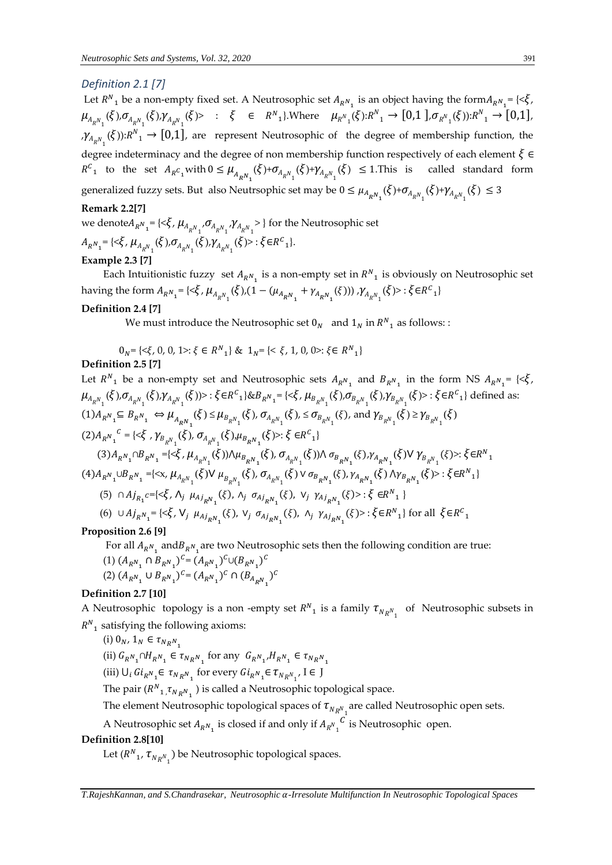### *Definition 2.1 [7]*

Let  $R^{N}$ <sub>1</sub> be a non-empty fixed set. A Neutrosophic set  $A_{R^{N}$ <sub>1</sub> is an object having the form $A_{R^{N}$ <sub>1</sub> = {< $\xi$ ,  $\mu_{A_{R_{n_1}}}(\xi), \sigma_{A_{R_{n_1}}}(\xi), \gamma_{A_{R_{n_1}}}(\xi) > \; : \; \xi \; \in \; R_{n_1}$ . Where  $\mu_{R_{n_1}}(\xi): R_{n_1} \to [0,1], \sigma_{R_{n_1}}(\xi): R_{n_1} \to [0,1],$  $L_{\mathcal{H}_{R^N_1}}(\xi)$ : $R^N_1 \to [0,1]$ , are represent Neutrosophic of the degree of membership function, the degree indeterminacy and the degree of non membership function respectively of each element  $\xi \in$  $R^{C}$ <sub>1</sub> to the set  $A_{R}c_{1}$  with  $0 \leq \mu_{A_{R}N_{1}}(\xi)+\sigma_{A_{R}N_{1}}(\xi)+\gamma_{A_{R}N_{1}}$ called standard form generalized fuzzy sets. But also Neutrsophic set may be  $0 \leq \mu_{A_{R_{N_1}}}(\xi) + \sigma_{A_{R_{N_1}}}(\xi) + \gamma_{A_{R_{N_1}}}(\xi) \leq 3$ 

### **Remark 2.2[7]**

we denote  $A_{R^N{}_1}$  = {< $\xi$ ,  $\mu_{A_{R^N{}_1}}$ , $\sigma_{A_{R^N{}_1}}$ , $\gamma_{A_{R^N{}_1}}$ >} for the Neutrosophic set  $A_{R^{N}1} = \{ \langle \xi, \mu_{A_{R^{N}1}}(\xi), \sigma_{A_{R^{N}1}}(\xi) \rangle \gamma_{A_{R^{N}1}}(\xi) \rangle : \xi \in R^{C}1 \}.$ 

### **Example 2.3 [7]**

Each Intuitionistic fuzzy set  $A_{R^N_1}$  is a non-empty set in  $R^N_1$  is obviously on Neutrosophic set having the form  $A_{R^{N} _{1}} = \{<\xi, \mu_{A_{R^{N} _{1}} } (\xi), (1-(\mu_{A_{R^{N} _{1}}} + \gamma_{A_{R^{N} _{1}} } (\xi))) , \gamma_{A_{R^{N} _{1}} } (\xi) > : \xi \in R^{C} _{1} \}$ 

#### **Definition 2.4 [7]**

We must introduce the Neutrosophic set  $0_N$  and  $1_N$  in  $R^N$ <sub>1</sub> as follows: :

 $0_N = \{ \langle \xi, 0, 0, 1 \rangle : \xi \in R^N_{1} \}$  &  $1_N = \{ \langle \xi, 1, 0, 0 \rangle : \xi \in R^N_{1} \}$ 

### **Definition 2.5 [7]**

Let  $R^{N}$ <sub>1</sub> be a non-empty set and Neutrosophic sets  $A_{R^{N}$ <sub>1</sub> and  $B_{R^{N}$ <sub>1</sub> in the form NS  $A_{R^{N}$ <sub>1</sub> = {< $\xi$ ,  $\mu_{A_{R^N_{1}}}(\xi)$ , $\sigma_{A_{R^N_{1}}}(\xi)$ , $\gamma_{A_{R^N_{1}}}(\xi)$ )> :  $\xi \in R^c_{1}\}$ & $B_{R^N_{1}}$ = {< $\xi$ ,  $\mu_{B_{R^N_{1}}}(\xi)$ , $\sigma_{B_{R^N_{1}}}(\xi)$ , $\gamma_{B_{R^N_{1}}}(\xi)$  :  $\xi \in R^c_{1}\}$  defined as:  $(1)A_{R^N{}_1}\subseteq B_{R^N{}_1} \Leftrightarrow \mu_{A_{R^N{}_1}}(\xi) \leq \mu_{B_{R^N{}_1}}(\xi), \sigma_{A_{R^N{}_1}}(\xi) , \leq \sigma_{B_{R^N{}_1}}(\xi),$  and  $\gamma_{B_{R^N{}_1}}(\xi) \geq \gamma_{B_{R^N{}_1}}(\xi)$  $(2)A_{R^{N}1}$  $c = \{<\xi, \gamma_{B_{R^{N}_{1}}}(\xi), \sigma_{A_{R^{N}_{1}}}(\xi), \mu_{B_{R^{N}_{1}}}(\xi)>:\xi \in R^{C_{1}}\}$  $(3)A_{R^N{}_1} \cap B_{R^N{}_1} = \{<\xi, \mu_{A_{R^N{}_1}}(\xi)) \wedge \mu_{B_{R^N{}_1}}(\xi), \sigma_{A_{R^N{}_1}}(\xi)) \wedge \sigma_{B_{R^N{}_1}}(\xi) \wedge \gamma_{A_{R^N{}_1}}(\xi) \vee \gamma_{B_{R^N{}_1}}(\xi) >: \xi \in R^N{}_1$  $(4) A_{R^N{}_1} \cup B_{R^N{}_1} = \{ \lll \mu_{A_{R^N{}_1}}(\xi) \lor \mu_{B_{R^N{}_1}}(\xi), \sigma_{A_{R^N{}_1}}(\xi) \lor \sigma_{B_{R^N{}_1}}(\xi), \gamma_{A_{R^N{}_1}}(\xi) \land \gamma_{B_{R^N{}_1}}(\xi) >: \xi \in R^N{}_1 \}$ (5)  $\cap Aj_{R_1}c=\{\langle \xi, \Lambda_j \mu_{Aj_{R}N_1}(\xi), \Lambda_j \sigma_{Aj_{R}N_1}(\xi), V_j \gamma_{Aj_{R}N_1}(\xi)\rangle : \xi \in R^N_1\}$ (6) ∪  $Aj_{R^{N}1} = \{ \langle \xi, V_j | \mu_{Aj_{R^{N}1}}(\xi), V_j | \sigma_{Aj_{R^{N}1}}(\xi), \Lambda_j | \gamma_{Aj_{R^{N}1}}(\xi) \rangle : \xi \in R^{N}1 \}$  for all  $\xi \in R^{C}1$ 

#### **Proposition 2.6 [9]**

For all  $A_{R^N_{1}}$  and $B_{R^N_{1}}$ are two Neutrosophic sets then the following condition are true:

(1) 
$$
(A_{R^N_1} \cap B_{R^N_1})^C = (A_{R^N_1})^C \cup (B_{R^N_1})^C
$$
  
(2)  $(A_{R^N_1} \cup B_{R^N_1})^C = (A_{R^N_1})^C \cap (B_{A_{R^N_1}})^C$ 

#### **Definition 2.7 [10]**

A Neutrosophic topology is a non-empty set  $R^N{}_1$  is a family  $\tau_{N_R N_1}$  of Neutrosophic subsets in  $R_{1}^{N}$  satisfying the following axioms:

- (i)  $0_N$ ,  $1_N \in \tau_{N_R N_1}$
- (ii)  $G_{R^N_{1}} \cap H_{R^N_{1}} \in \tau_{N_R N_{1}}$  for any  $G_{R^N_{1}} H_{R^N_{1}} \in \tau_{N_R N_{1}}$ (iii)  $\bigcup_i Gi_{R^N{}_1}\in \tau_{N_RN{}_1}$  for every  $Gi_{R^N{}_1}\!\in \tau_{N_RN{}_1},$   $I\in J$

The pair  $(R^N_{1, \tau_{N_R N_1}})$  is called a Neutrosophic topological space.

The element Neutrosophic topological spaces of  $\tau_{N_RN_A^-}$  are called Neutrosophic open sets.

A Neutrosophic set  $A_{R^N_{1}}$  is closed if and only if  $A_{R^N_{1}}$  $c$  is Neutrosophic open.

#### **Definition 2.8[10]**

Let  $(R^{N}_{1}, \tau_{N_R N_1})$  be Neutrosophic topological spaces.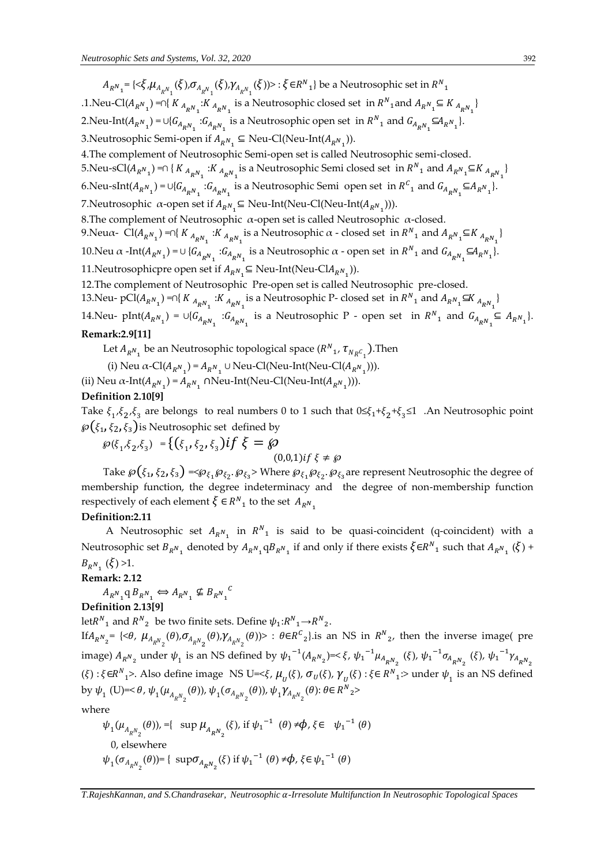$A_{R^N_{-1}}$ ={< $\xi$ , $\mu_{A_{R^N_{-1}}}(\xi)$ , $\sigma_{A_{R^N_{-1}}}(\xi)$ , $\gamma_{A_{R^N_{-1}}}(\xi)$ )> :  $\xi$ ∈ $R^N_{-1}$ } be a Neutrosophic set in  $R^N_{-1}$ 

.1. Neu-Cl( $A_{R^N_1}$ ) =∩{  $K_{A_{R^N_1}}$ : $K_{A_{R^N_1}}$  is a Neutrosophic closed set in  $R^N_1$  and  $A_{R^N_1} \subseteq K_{A_{R^N_1}}$ } 2. Neu-Int $(A_{R^N_1}) = \cup \{G_{A_{R^N_1}} : G_{A_{R^N_1}} \text{ is a Neutrosophic open set in } R^N_1 \text{ and } G_{A_{R^N_1}} \subseteq A_{R^N_1} \}.$ 

3.Neutrosophic Semi-open if  $A_{R^N{}_1} \subseteq$  Neu-Cl(Neu-Int( $A_{R^N{}_1}$ )).

4.The complement of Neutrosophic Semi-open set is called Neutrosophic semi-closed.

5.Neu-sCl $(A_{R^N_1})$  =∩ {  $K_{A_{R^N_1}}$  : $K_{A_{R^N_1}}$  is a Neutrosophic Semi closed set in  $R^N_1$  and  $A_{R^N_1} \subseteq K_{A_{R^N_1}}$ }

6.Neu-sInt $(A_{R^N_1}) = \cup \{G_{A_{R^N_1}} : G_{A_{R^N_1}} \text{ is a Neutrosophic Semi open set in } R^C_1 \text{ and } G_{A_{R^N_1}} \subseteq A_{R^N_1} \}.$ 

7.Neutrosophic α-open set if  $A_{R^N} \subseteq$  Neu-Int(Neu-Cl(Neu-Int( $A_{R^N}$ <sub>1</sub>))).

8. The complement of Neutrosophic  $α$ -open set is called Neutrosophic  $α$ -closed.

9. Neu $\alpha$ - Cl $(A_{R^N{}_1})$  =∩{  $K_{A_{R^N{}_1}}$ : $K_{A_{R^N{}_1}}$  is a Neutrosophic  $\alpha$  - closed set in  $R^N{}_1$  and  $A_{R^N{}_1} \subseteq K_{A_{R^N{}_1}}$ }

10. Neu  $\alpha$  -Int $(A_{R^N_1}) = \cup \{G_{A_{R^N_1}} : G_{A_{R^N_1}} \text{ is a Neutrosophic }\alpha \text{ - open set in } R^N_1 \text{ and } G_{A_{R^N_1}} \subseteq A_{R^N_1}$ . 11.Neutrosophicpre open set if  $A_{R^N} \subseteq \text{Neu-Int}(\text{Neu-Cl} A_{R^N} \text{.})).$ 

12.The complement of Neutrosophic Pre-open set is called Neutrosophic pre-closed.

13.Neu- pCl( $A_{R^N}$ <sub>1</sub>) =∩{  $K_{A_{R^N}1}$  : $K_{A_{R^N}1}$  is a Neutrosophic P- closed set in  $R^N$ <sub>1</sub> and  $A_{R^N}$   $\subseteq$   $K_{A_{R^N}1}$ } 14. Neu- pInt $(A_{R^N_1}) = \cup \{G_{A_{R^N_1}} : G_{A_{R^N_1}} \text{ is a Neutrosophic } P \text{ - open set in } R^N_1 \text{ and } G_{A_{R^N_1}} \subseteq A_{R^N_1} \}.$ 

#### **Remark:2.9[11]**

Let  $A_{R^{N}{}_{1}}$  be an Neutrosophic topological space  $(R^{N}{}_{1}, T_{N_{R}C}{}_{1})$ . Then

(i) Neu  $\alpha$ -Cl( $A_{R^N}$ <sub>1</sub>) =  $A_{R^N}$  ∪ Neu-Cl(Neu-Int(Neu-Cl( $A_{R^N}$ <sub>1</sub>))).

(ii) Neu  $\alpha$ -Int $(A_{R^N_1}) = A_{R^N_1} \cap \text{Neu-Int}(\text{Neu-Cl}(\text{Neu-Int}(A_{R^N_1}))).$ 

## **Definition 2.10[9]**

Take  $\xi_1$ ,  $\xi_2$ ,  $\xi_3$  are belongs to real numbers 0 to 1 such that  $0 \le \xi_1 + \xi_2 + \xi_3 \le 1$  . An Neutrosophic point  $\wp\bigl(\xi_1,\xi_2,\xi_3\bigr)$ is Neutrosophic set defined by

 $\wp(\xi_1, \xi_2, \xi_3) = \{(\xi_1, \xi_2, \xi_3) \text{if } \xi = \wp$  $(0,0,1)$ if  $\xi \neq \emptyset$ 

Take  $\wp(\xi_1, \xi_2, \xi_3) = \wp_{\xi_1} \wp_{\xi_2}$ .  $\wp_{\xi_3}$ > Where  $\wp_{\xi_1} \wp_{\xi_2}$ .  $\wp_{\xi_3}$ are represent Neutrosophic the degree of membership function, the degree indeterminacy and the degree of non-membership function respectively of each element  $\xi \in R^N_{1}$  to the set  $A_{R^N_{1}}$ 

#### **Definition:2.11**

A Neutrosophic set  $A_{R^N_1}$  in  $R^N_1$  is said to be quasi-coincident (q-coincident) with a Neutrosophic set  $B_{R^N_1}$  denoted by  $A_{R^N_1}qB_{R^N_1}$  if and only if there exists  $\xi \in R^N_1$  such that  $A_{R^N_1}(\xi)$  +  $B_{R^{N_1}}(\xi) > 1.$ 

### **Remark: 2.12**

 $A_{R^N_{1}} \neq B_{R^N_{1}} \Leftrightarrow A_{R^N_{1}} \nsubseteq B_{R^N_{1}}$  $\mathcal C$ 

**Definition 2.13[9]** 

let $R^{N}$ <sub>1</sub> and  $R^{N}$ <sub>2</sub> be two finite sets. Define  $\psi_{1}:R^{N}$ <sub>1</sub>  $\rightarrow$   $R^{N}$ <sub>2</sub>. If  $A_{R^N}$ <sub>=</sub> {< $\theta$ ,  $\mu_{A_{R^N_2}}(\theta)$ , $\sigma_{A_{R^N_2}}(\theta)$ , $\gamma_{A_{R^N_2}}(\theta)$ }> :  $\theta \in R^C_2$ } is an NS in  $R^N_2$ , then the inverse image( pre image)  $A_{R_{\_2}}$  under  $\psi_1$  is an NS defined by  $\psi_1^{-1}(A_{R_{\_2}})=<\xi$ ,  $\psi_1^{-1}\mu_{A_{R_{\_2}}}(\xi)$ ,  $\psi_1^{-1}\sigma_{A_{R_{\_2}}}(\xi)$ ,  $\psi_1^{-1}\gamma_{A_{R_{\_2}}}$  $(\xi)$ :  $\xi \in R^{N}$ <sub>1</sub>>. Also define image NS U=< $\xi$ ,  $\mu_{U}(\xi)$ ,  $\sigma_{U}(\xi)$ ,  $\gamma_{U}(\xi)$ :  $\xi \in R^{N}$ <sub>1</sub>:> under  $\psi_{1}$  is an NS defined by  $\psi_1$  (U)=<  $\theta$ ,  $\psi_1(\mu_{A_{R^N_2}}(\theta))$ ,  $\psi_1(\sigma_{A_{R^N_2}}(\theta))$ ,  $\psi_1\gamma_{A_{R^N_2}}(\theta)$ :  $\theta \in R^N$ <sub>2</sub>>

where

$$
\psi_1(\mu_{A_{R_{\rho_{2}}}}(\theta)) = \{ \sup \mu_{A_{R_{\rho_{2}}}}(\xi), \text{ if } \psi_1^{-1} (\theta) \neq \phi, \xi \in \psi_1^{-1} (\theta) 0, \text{ elsewhere} \n\psi_1(\sigma_{A_{R_{\rho_{2}}}}(\theta)) = \{ \sup \sigma_{A_{R_{\rho_{2}}}}(\xi) \text{ if } \psi_1^{-1} (\theta) \neq \phi, \xi \in \psi_1^{-1} (\theta) \}
$$

*T.RajeshKannan, and S.Chandrasekar, Neutrosophic -Irresolute Multifunction In Neutrosophic Topological Spaces*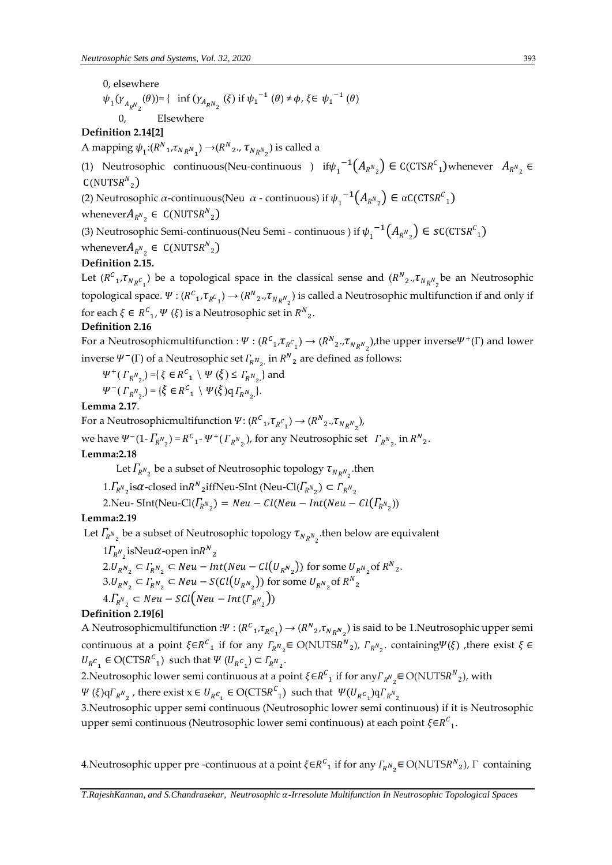0, elsewhere

$$
\psi_1(\gamma_{A_RN_2}(\theta)) = \{ \text{ inf } (\gamma_{A_RN_2}(\xi) \text{ if } \psi_1^{-1}(\theta) \neq \phi, \xi \in {\psi_1}^{-1}(\theta)
$$

2 0, Elsewhere

### **Definition 2.14[2]**

A mapping  $\psi_1$ : $(R^N{}_1, \tau_{N_RN_{_1}})$   $\rightarrow$  $(R^N{}_2, \tau_{N_RN_{_2}})$  is called a

(1) Neutrosophic continuous(Neu-continuous ) if $\psi_1^{-1}(A_{R^N{}_2}) \in C(CTSR^C{}_1)$ whenever  $A_{R^N{}_2} \in$  $C($ NUTS $R^N_{2})$ 

(2) Neutrosophic α-continuous(Neu α-continuous) if  $\psi_1^{-1}(A_{R^N_2}) \in \alpha C(TSR^C_1)$ 

whenever $A_{R^{N}_2} \in C(\text{NUTSR}^N)_2$ 

(3) Neutrosophic Semi-continuous(Neu Semi - continuous ) if  $\psi_1^{-1}(A_{R^{N_2}}) \in \mathcal{S}C(\mathbb{CTSR}^C_1)$ 

whenever $A_{R^{N}_2} \in C(\text{NUTS}R^{N}_2)$ 

### **Definition 2.15.**

Let  $(R^C{}_1, \tau_{N_RC_1})$  be a topological space in the classical sense and  $(R^N{}_2, \tau_{N_RN_2})$ be an Neutrosophic topological space.  $\Psi: (R^C{}_1, \tau_{R^C{}_1}) \to (R^N{}_2., \tau_{N_RN_{_2}})$  is called a Neutrosophic multifunction if and only if for each  $\xi \in {R^{\mathcal{C}}}_{1}, \Psi (\xi)$  is a Neutrosophic set in  ${R^N}_2$ .

### **Definition 2.16**

For a Neutrosophicmultifunction :  $\Psi:(R^C{}_1,\tau_{R^C{}_1})\to (R^N{}_2.,\tau_{N_RN_2}),$  the upper inverse $\Psi^+(\Gamma)$  and lower inverse  $\Psi^-(\Gamma)$  of a Neutrosophic set  $\varGamma_{R^N_{2}}$  in  $R^N_{2}$  are defined as follows:

$$
\Psi^+(\Gamma_{R^N_2}) = \{ \xi \in R^C_1 \setminus \Psi(\xi) \le \Gamma_{R^N_2} \} \text{ and}
$$
  
 
$$
\Psi^-(\Gamma_{R^N_2}) = \{ \xi \in R^C_1 \setminus \Psi(\xi) q \Gamma_{R^N_2} \}.
$$

### **Lemma 2.17**.

For a Neutrosophicmultifunction  $\Psi: (R^C{}_1, \tau_{R^C{}_1}) \rightarrow (R^N{}_2, \tau_{N_R N}^{})$ ,

we have  $\Psi^{-}(1 - \Gamma_{R^{N_2}}) = R^{C_1} - \Psi^{+}(\Gamma_{R^{N_2}})$ , for any Neutrosophic set  $\Gamma_{R^{N_2}}$  in  $R^{N_2}$ .

### **Lemma:2.18**

Let  $\Gamma_{R^{N_2}}$  be a subset of Neutrosophic topology  $\tau_{N_{R^{N_2}}}$  then

 $1.\Gamma_{R^N}$  is $\alpha$ -closed in  $R^N$  if Neu-SInt (Neu-Cl $(\Gamma_{R^N}$ <sub>2</sub>)  $\subset \Gamma_{R^N}$ <sub>2</sub>

2.Neu- SInt(Neu-Cl $(I_{R^N_2})$  = Neu – Cl(Neu – Int(Neu – Cl $(I_{R^N_2})$ )

### **Lemma:2.19**

Let  $\Gamma_{R^{N_2}}$  be a subset of Neutrosophic topology  $\tau_{N_R N_2}$  then below are equivalent

$$
1\Gamma_{R^N_2} \text{isNeu}\alpha \text{-open in} R^N_2
$$
  
2.
$$
U_{R^N_2} \subset \Gamma_{R^N_2} \subset Neu - Int(Neu - Cl(U_{R^N_2})) \text{ for some } U_{R^N_2} \text{ of } R^N_2
$$
  
3.
$$
U_{R^N_2} \subset \Gamma_{R^N_2} \subset Neu - S(Cl(U_{R^N_2})) \text{ for some } U_{R^N_2} \text{ of } R^N_2
$$
  
4.
$$
\Gamma_{R^N_2} \subset Neu - SCl(Neu - Int(\Gamma_{R^N_2}))
$$

### **Definition 2.19[6]**

A Neutrosophicmultifunction : $\Psi: (R^C{}_1, \tau_{R^C{}_1}) \to (R^N{}_2, \tau_{N_R N}{}_2)$  is said to be 1. Neutrosophic upper semi continuous at a point  $\xi \in R^C$  if for any  $\varGamma_{R^N{}_2} \in O(NUTSR^N{}_2)$ ,  $\varGamma_{R^N{}_2}$  containing $\Psi(\xi)$  , there exist  $\xi \in$  $U_R c_1 \in \text{O}(\text{CTS}R^C_1)$  such that  $\Psi (U_R c_1) \subset \Gamma_R N_2$ .

.

2.Neutrosophic lower semi continuous at a point  $\xi \in R^C_{-1}$  if for any  $\Gamma_{R^N{}_2} \in O(NUTS R^N{}_2)$ , with

 $\Psi$  ( $\xi$ ) $q\Gamma_{R^{N_2}}$ , there exist  $x \in U_{R^C}$ ,  $\in$  O(CTS $R^C$ <sub>1</sub>) such that  $\Psi(U_{R^C}$ <sub>1</sub>) $q\Gamma_{R^{N_2}}$ 

3.Neutrosophic upper semi continuous (Neutrosophic lower semi continuous) if it is Neutrosophic upper semi continuous (Neutrosophic lower semi continuous) at each point  $\xi{\in}R^{{\cal C}}_{\;\;1}.$ 

4. Neutrosophic upper pre -continuous at a point  $\xi \in R^C_{11}$  if for any  $\Gamma_{R^N_{2}} \in O(NUTSR^N_{2})$ ,  $\Gamma$  containing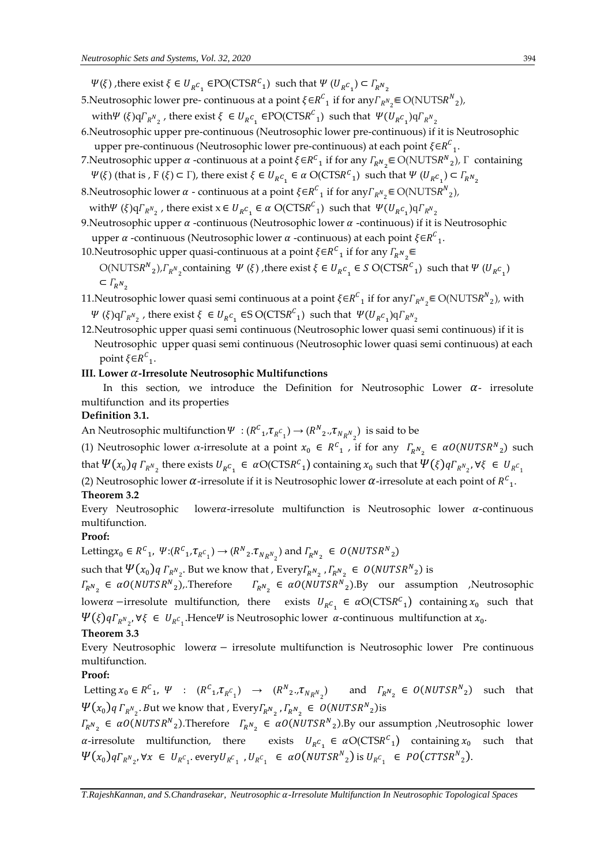$\Psi(\xi)$ , there exist  $\xi \in U_{R^C}$   $\in \text{PO}(\text{CTSR}^C)_1$  such that  $\Psi(U_{R^C}^{\phantom C}) \subset \Gamma_{R^N}$ 

- 5.Neutrosophic lower pre- continuous at a point  $\xi \in {R^C}_1$  if for any  $\Gamma_{R^N{}_2} \in O(NUTS{R^N}_2)$ ,
- with  $\Psi(\xi) q F_{R^{N_2}}$ , there exist  $\xi \in U_{R^C}$ ,  $\epsilon \text{PO}(\text{CTS}R^C)$  such that  $\Psi(U_{R^C}Q) q F_{R^{N_2}}$
- 6.Neutrosophic upper pre-continuous (Neutrosophic lower pre-continuous) if it is Neutrosophic upper pre-continuous (Neutrosophic lower pre-continuous) at each point  $\xi \in R^C_{-1}$ .
- 7.Neutrosophic upper *α* -continuous at a point ξ∈ $R^C$ <sub>1</sub> if for any  $\Gamma_R w$ <sub>2</sub> ∈ O(NUTS $R^N$ <sub>2</sub>), Γ containing  $\Psi(\xi)$  (that is ,  $F(\xi) \subset \Gamma$ ), there exist  $\xi \in U_{R^C}$   $\in \alpha$  O(CTSR<sup>C</sup><sub>1</sub>) such that  $\Psi (U_{R^C}$ <sub>1</sub>)  $\subset \Gamma_{R^N}$ <sub>2</sub>

8.Neutrosophic lower  $\alpha$  - continuous at a point  $\xi \in R^C_{-1}$  if for any  $\Gamma_{R^N_{-2}} \in O(NUTS R^N_{-2})$ ,

with  $\Psi(\xi) q \Gamma_{R^N_{2}}$ , there exist  $x \in U_{R^C_{1}} \in \alpha \text{ O(CTSR}^C_{1})$  such that  $\Psi(U_{R^C_{1}}) q \Gamma_{R^N_{2}}$ 

- 9. Neutrosophic upper  $\alpha$  -continuous (Neutrosophic lower  $\alpha$  -continuous) if it is Neutrosophic upper  $\alpha$  -continuous (Neutrosophic lower  $\alpha$  -continuous) at each point  $\xi \in R^C_{-1}$ .
- 10.Neutrosophic upper quasi-continuous at a point  $\xi{\in}R^{\mathcal{C}}_{\phantom{\mathcal{L}'}\!}$  if for any  $\varGamma_{\!R^N}{}_{\!_2}$

O(NUTSR<sup>N</sup><sub>2</sub>),  $\Gamma_{R^{N_2}}$  containing  $\Psi(\xi)$ , there exist  $\xi \in U_{R^{C_1}} \in S$  O(CTSR<sup>C</sup><sub>1</sub>) such that  $\Psi(U_{R^{C_1}})$  $\subset \Gamma_{\!R}N_{_2}$ 

- 11.Neutrosophic lower quasi semi continuous at a point  $\xi \in R^C_{-1}$  if for any  $\Gamma_{R^N_{-2}} \in O(NUTS R^N_{-2})$ , with  $\Psi(\xi) q \Gamma_{R^N_{2}}$ , there exist  $\xi \in U_{R^C_{1}}$   $\in S$  O(CTSR<sup>C</sup><sub>1</sub>) such that  $\Psi(U_{R^C_{1}}) q \Gamma_{R^N_{2}}$
- 12.Neutrosophic upper quasi semi continuous (Neutrosophic lower quasi semi continuous) if it is Neutrosophic upper quasi semi continuous (Neutrosophic lower quasi semi continuous) at each point  $\xi \in R^C_{1}$ .

#### **III. Lower -Irresolute Neutrosophic Multifunctions**

In this section, we introduce the Definition for Neutrosophic Lower  $\alpha$ - irresolute multifunction and its properties

### **Definition 3.1.**

An Neutrosophic multifunction  $\Psi:(R^C{}_1, \tau_{R^C{}_1}) \to (R^N{}_2, \tau_{N_R N_{_2}})$  is said to be

(1) Neutrosophic lower  $\alpha$ -irresolute at a point  $x_0 \in R^C_1$ , if for any  $\Gamma_{R^N_2} \in \alpha O(NUTSR^N_2)$  such that  $\Psi(x_0)$ q $\Gamma_{R^N{}_2}$  there exists  $U_Rc_{_1}\in a\text{O}(\text{CTSR}^c{}_1)$  containing  $x_0$  such that  $\Psi(\xi)$ q $\Gamma_{R^N{}_2}$ ,  $\forall \xi\in U_{R^C{}_1}$ (2) Neutrosophic lower  $\alpha$ -irresolute if it is Neutrosophic lower  $\alpha$ -irresolute at each point of  $R^c_{-1}$ .

#### **Theorem 3.2**

Every Neutrosophic lower $\alpha$ -irresolute multifunction is Neutrosophic lower  $\alpha$ -continuous multifunction.

### **Proof:**

Letting $x_0 \in R^c_1$ ,  $\Psi: (R^c_1, \tau_{R^c_1}) \to (R^N_2, \tau_{N_R N_2})$  and  $\Gamma_{R^N_2} \in O(NUTSR^N_2)$ 

such that  $\Psi(x_0)$   $q \Gamma_{R^N_2}$ . But we know that , Every $\Gamma_{R^N_2}$  ,  $\Gamma_{R^N_2} \in O(NUTSR^N_2)$  is

 $\Gamma_{R^N_2} \in \alpha O(NUTSR^N)_2$ , Therefore  $\Gamma_{R^N_2} \in \alpha O(NUTSR^N)_2$ . By our assumption , Neutrosophic lower  $\alpha$  −irresolute multifunction, there exists  $U_{R}c_1 \in \alpha O(CTSR^C_1)$  containing  $x_0$  such that  $\Psi(\xi)$ q $\Gamma_{R^N{}_2}$ ,  $\forall \xi \in U_{R^C{}_1}$ .Hence $\Psi$  is Neutrosophic lower  $\alpha$ -continuous multifunction at  $x_0$ .

### **Theorem 3.3**

Every Neutrosophic lower $\alpha$  – irresolute multifunction is Neutrosophic lower Pre continuous multifunction.

### **Proof:**

Letting  $x_0 \in R^C_1$ ,  $\Psi$  :  $(R^C_1, \tau_{R^C_1}) \rightarrow (R^N_2, \tau_{N_R N_2})$  and  $\tau_{R^N_2} \in O(NUTSR^N_2)$  such that  $\Psi(x_0) q \Gamma_{R^N_2}$ . But we know that , Every  $\Gamma_{R^N_2}$  ,  $\Gamma_{R^N_2} \in O(NUTSR^N_2)$  is

 $\Gamma_{R^N_2}$  ∈  $\alpha O(NUTSR^N_2)$ . Therefore  $\Gamma_{R^N_2}$  ∈  $\alpha O(NUTSR^N_2)$ . By our assumption , Neutrosophic lower *a*-irresolute multifunction, there exists  $U_{R}c_1 \in \alpha O(CTSR^c_1)$  containing  $x_0$  such that  $\Psi(x_0)q\Gamma_{R^N_{2}}, \forall x \in \mathit{U_{R^C_{1}}}.$  every  $\mathit{U_{R^C_{1}}}$  ,  $\mathit{U_{R^C_{1}}} \in aO(NUTSR^N_{2})$  is  $\mathit{U_{R^C_{1}}} \in pO(CTTSR^N_{2}).$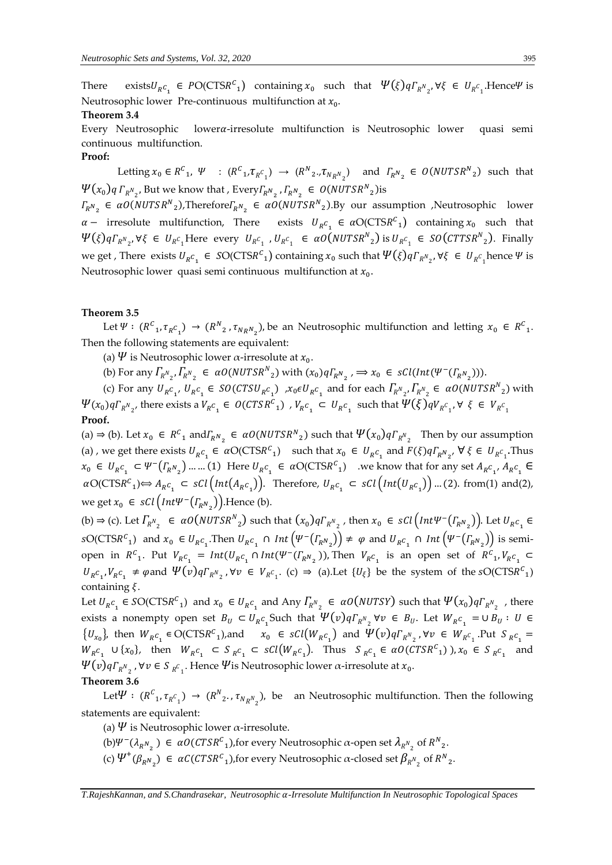There exists  $U_{R^C}$   $\in PO(CTSR^C)$  containing  $x_0$  such that  $\Psi(\xi) q \Gamma_{R^N}$ ,  $\forall \xi \in U_{R^C}$ . Hence  $\Psi$  is Neutrosophic lower Pre-continuous multifunction at  $x_0$ .

#### **Theorem 3.4**

Every Neutrosophic lowera-irresolute multifunction is Neutrosophic lower quasi semi continuous multifunction.

#### **Proof:**

Letting  $x_0 \in R^C_1$ ,  $\Psi$  :  $(R^C_1, \tau_{R^C_1}) \rightarrow (R^N_2, \tau_{N_R N_2})$  and  $\Gamma_{R^N_2} \in O(NUTSR^N_2)$  such that  $\Psi(x_0)$ q  $\Gamma_{R^N{}_2}$ , But we know that , Every $\Gamma_{R^N{}_2}$  ,  $\Gamma_{R^N{}_2} \in O(NUTSR^N{}_2)$ is

 $\Gamma_{R^N_2}$  ∈ α0(NUTSR<sup>N</sup><sub>2</sub>),Therefore $\Gamma_{R^N_2}$  ∈ α0(NUTSR<sup>N</sup><sub>2</sub>).By our assumption ,Neutrosophic lower  $\alpha$  – irresolute multifunction, There exists  $U_{R}c_1 \in \alpha O(CTSR^C_1)$  containing  $x_0$  such that  $\Psi(\xi) q \Gamma_{R^N{}_2}, \forall \xi \in U_{R^C{}_1}$ Here every  $U_{R^C{}_1}$ ,  $U_{R^C{}_1} \in \alpha O(NUTSR^N{}_2)$  is  $U_{R^C{}_1} \in SO(CTTSR^N{}_2)$ . Finally we get , There exists  $U_{R}c_1 \in SO(CTSR^c_1)$  containing  $x_0$  such that  $\Psi(\xi)q\Gamma_{R^N_{2}}, \forall \xi \in U_{R^c_1}$ hence  $\Psi$  is Neutrosophic lower quasi semi continuous multifunction at  $x_0$ .

#### **Theorem 3.5**

Let  $\Psi: (R^C_1, \tau_{R^C_1}) \to (R^N_2, \tau_{N_R N_2})$ , be an Neutrosophic multifunction and letting  $x_0 \in R^C_1$ . Then the following statements are equivalent:

- (a)  $\Psi$  is Neutrosophic lower  $\alpha$ -irresolute at  $x_0$ .
- (b) For any  $\Gamma_{R^N{}_2}, \Gamma_{R^N{}_2} \in \alpha O(NUTSR^N{}_2)$  with  $(x_0)q\Gamma_{R^N{}_2}, \Rightarrow x_0 \in \mathcal{SU}(Int(\Psi^-(\Gamma_{R^N{}_2})))$ .

(c) For any  $U_{R}c_1$ ,  $U_{R}c_1 \in SO(CTSU_{R}c_1)$  ,  $x_0 \in U_{R}c_1$  and for each  $\Gamma_{R_{2}}$ ,  $\Gamma_{R_{2}}$   $\in \alpha O(NUTSR_{2})$  with  $\Psi(x_0)q\Gamma_{R^N_{2}}$ , there exists a  $V_{R^C_{1}}\in\,\mathit{O}(\mathit{CTSR}^C_{1})\,$  ,  $V_{R^C_{1}}\,\subset\,U_{R^C_{1}}\,$  such that  $\Psi(\xi)qV_{R^C_{1}}$ ,  $\forall\,\,\xi\,\in\,V_{R^C_{1}}$ **Proof.**

(a) ⇒ (b). Let  $x_0 \text{ } \in R^C$ <sub>1</sub> and  $\Gamma_{R^N_2} \in \alpha O(NUTSR^N)_2$  such that  $\Psi(x_0)q\Gamma_{R^N_2}$  Then by our assumption (a), we get there exists  $U_{R}c_1 \in \alpha O(CTSR^C_1)$  such that  $x_0 \in U_{R}c_1$  and  $F(\xi)q\Gamma_{R}N_2$ ,  $\forall \xi \in U_{R}c_1$ . Thus  $x_0 \in U_{R^C} \subset \Psi^-(\Gamma_{R^N_2}) \dots (1)$  Here  $U_{R^C_1} \in \alpha O(CT S R^C_1)$  we know that for any set  $A_{R^C_1}, A_{R^C_1} \in$  $\alpha$ O(CTS $R^c_1$ ) $\Leftrightarrow$   $A_{R^c_1} \subset \mathcal{SCl}(\text{Int}(A_{R^c_1}))$ . Therefore,  $U_{R^c_1} \subset \mathcal{SCl}(\text{Int}(U_{R^c_1}))$  ... (2). from(1) and(2), we get  $x_0 \in \mathcal{SCI}\left(\text{Int}\Psi^-\left(\varGamma_{R^N_2}\right)\right)$ . Hence (b).

(b)  $\Rightarrow$  (c). Let  $\varGamma_{R^{N_2}} \in aO(NUTSR^{N_2})$  such that  $(x_0)q\varGamma_{R^{N_2}}$ , then  $x_0 \in sCl\left(int\Psi^{-1}(\varGamma_{R^{N_2}})\right)$ . Let  $U_{R^{C_1}} \in$  $\mathcal{S}O(\text{CTSR}^c_1)$  and  $x_0 \in U_{R}c_1$ . Then  $U_{R}c_1 \cap Int(\Psi^-(\Gamma_{R}N_2)) \neq \varphi$  and  $U_{R}c_1 \cap Int(\Psi^-(\Gamma_{R}N_2))$  is semiopen in  $R^c$ <sub>1</sub>. Put  $V_{R^c}$ <sub>1</sub> =  $Int(U_{R^c} \cap Int(\Psi^-(\Gamma_{R^N_2}))$ , Then  $V_{R^c}$ <sub>1</sub> is an open set of  $R^c$ <sub>1</sub>,  $V_{R^c}$ <sub>1</sub>  $\subset$  $U_{R}c_1, V_{R}c_1 \neq \varphi$  and  $\Psi(v)q\Gamma_{R^N_2}$ ,  $\forall v \in V_{R^C_1}$ . (c)  $\Rightarrow$  (a). Let  $\{U_{\xi}\}\$ be the system of the sO(CTSR<sup>C</sup><sub>1</sub>) containing  $\xi$ .

Let  $U_{R^C}$   $\in$  SO(CTSR<sup>C</sup><sub>1</sub>) and  $x_0$   $\in$   $U_{R^C}$  and Any  $\Gamma_{R^N}$   $\in$   $\alpha$ O(NUTSY) such that  $\Psi(x_0)q\Gamma_{R^N}$  , there exists a nonempty open set  $B_U \subset U_{R^C}$  Such that  $\Psi(v) q \Gamma_{R^N}$   $\forall v \in B_U$ . Let  $W_{R^C}$   $= \cup B_U : U \in$  $\{U_{x_0}\}\$ , then  $W_{R^C_1} \in \text{O}(\text{CTSR}^C_1)$ , and  $x_0 \in \text{sCl}(W_{R^C_1})$  and  $\Psi(v)q\Gamma_{R^N_2}$ ,  $\forall v \in W_{R^C_1}$ . Put  $S_{R^C_1} =$  $W_{R}c_1 \cup \{x_0\}$ , then  $W_{R}c_1 \subset S_{R}c_1 \subset sCl(W_{R}c_1)$ . Thus  $S_{R}c_1 \in \alpha O(CTSR^C_1)$ ,  $x_0 \in S_{R}c_1$  and  $\Psi(v)$ q $\Gamma_{R^N_{-2}}$  ,  $\forall v \in S_{R^C_{-1}}$ . Hence  $\Psi$ is Neutrosophic lower  $\alpha$ -irresolute at  $x_0$ .

### **Theorem 3.6**

Let  $\Psi: (R^C_1, \tau_{R^C_1}) \to (R^N_2, \tau_{N_R N_2})$ , be an Neutrosophic multifunction. Then the following statements are equivalent:

- (a)  $\Psi$  is Neutrosophic lower  $\alpha$ -irresolute.
- (b) $\Psi^-(\lambda_{R^N_2})$  ∈  $\alpha O(CTSR^c_1)$ , for every Neutrosophic  $\alpha$ -open set  $\lambda_{R^N_2}$  of  $R^N_2$ .
- (c)  $\Psi^+(\beta_{R^N_2}) \in \alpha \mathcal{C}(\mathcal{CTSR}^c_1)$ , for every Neutrosophic  $\alpha$ -closed set  $\beta_{R^N_2}$  of  $R^N_2$ .

*T.RajeshKannan, and S.Chandrasekar, Neutrosophic -Irresolute Multifunction In Neutrosophic Topological Spaces*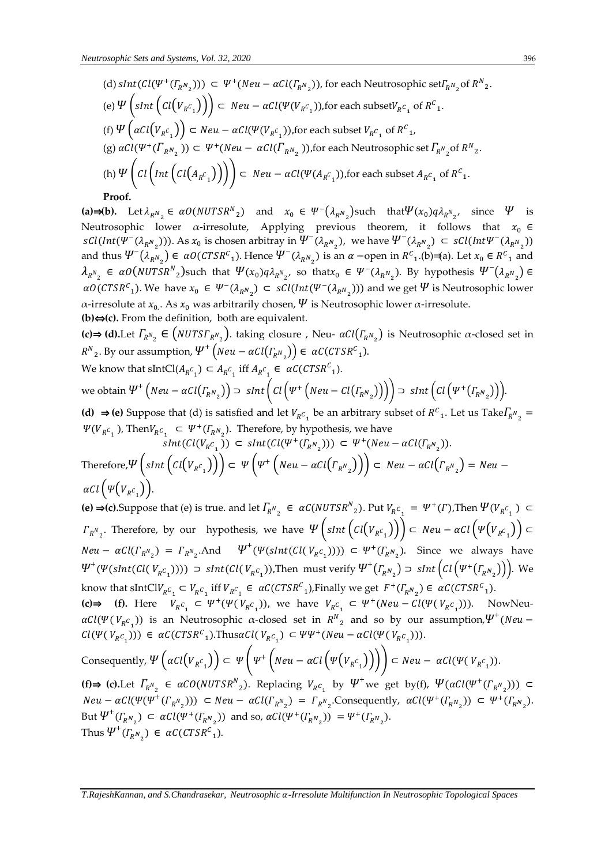\n- (d) 
$$
sInt(Cl(\Psi^+(I_{R^N_2}))) \subset \Psi^+(Neu - \alpha Cl(I_{R^N_2}))
$$
, for each Neutrosophic  $set_{R^N_2}$  of  $R^N_2$ .
\n- (e)  $\Psi\left(\operatorname{sInt}\left(\operatorname{Cl}(V_{R^C_1})\right)\right) \subset \operatorname{Neu} - \alpha Cl(\Psi(V_{R^C_1}))$ , for each subset  $V_{R^C_1}$  of  $R^C_1$ .
\n- (f)  $\Psi\left(\alpha Cl(V_{R^C_1})\right) \subset \operatorname{Neu} - \alpha Cl(\Psi(V_{R^C_1}))$ , for each subset  $V_{R^C_1}$  of  $R^C_1$ .
\n- (g)  $\alpha Cl(\Psi^+(I_{R^N_2})) \subset \Psi^+(Neu - \alpha Cl(I_{R^N_2}))$ , for each Neutrosophic set  $I_{R^N_2}$  of  $R^N_2$ .
\n- (h)  $\Psi\left(\operatorname{Cl}\left(\operatorname{Int}\left(\operatorname{Cl}(A_{R^C_1})\right)\right)\right) \subset \operatorname{Neu} - \alpha Cl(\Psi(A_{R^C_1}))$ , for each subset  $A_{R^C_1}$  of  $R^C_1$ .
\n- **Proof.**
\n

(a)⇒(b). Let  $\lambda_{R_{\alpha_2}} \in \alpha O(NUTSR_{\alpha_2})$  and  $x_0 \in \Psi^-(\lambda_{R_{\alpha_2}})$  such that  $\Psi(x_0)q\lambda_{R_{\alpha_2}}$ , since  $\Psi$  is Neutrosophic lower  $\alpha$ -irresolute, Applying previous theorem, it follows that  $x_0 \in$  $sCl(int(\Psi^-(\lambda_{R^N_2})))$ . As  $x_0$  is chosen arbitray in  $\Psi^-(\lambda_{R^N_2})$ , we have  $\Psi^-(\lambda_{R^N_2}) \subset sCl(int\Psi^-(\lambda_{R^N_2}))$ and thus  $\Psi^-(\lambda_{R^N_2}) \in \alphaO(CTSR^c_1)$ . Hence  $\Psi^-(\lambda_{R^N_2})$  is an  $\alpha$  -open in  $R^c_1$ . (b)  $\equiv$  (a). Let  $x_0 \in R^c_1$  and  $\lambda_{R^{N}{}_{2}}$   $\in$   $\alpha O(NUTSR^{N}{}_{2})$ such that  $\Psi(x_0)q\lambda_{R^{N}{}_{2}'}$  so that $x_0 \in \Psi^{-}(\lambda_{R^{N}{}_{2}})$ . By hypothesis  $\Psi^{-}(\lambda_{R^{N}{}_{2}})$   $\in$  $\alpha O(CTSR^c_1)$ . We have  $x_0$  ∈  $\Psi^-(\lambda_{R^N_2})$  ⊂  $sCl(int(\Psi^-(\lambda_{R^N_2})))$  and we get  $\Psi$  is Neutrosophic lower α-irresolute at  $x_0$ . As  $x_0$  was arbitrarily chosen,  $\Psi$  is Neutrosophic lower α-irresolute. **(b)**⇔ **(c).** From the definition, both are equivalent.

**(c)⇒ (d).**Let  $\Gamma_{R^N_2}$  ∈  $(NUTST_{R^N_2})$ . taking closure , Neu-  $\alpha Cl(\Gamma_{R^N_2})$  is Neutrosophic α-closed set in  $R^N{}_2$ . By our assumption,  $\Psi^+\left(Neu-\alpha Cl(\varGamma_{R^N{}_2})\right) \in \ \alpha C (CTSR^C{}_1)$ .

We know that  $\text{SIntCl}(A_{R^C_1}) \subset A_{R^C_1}$  iff  $A_{R^C_1} \in \alpha \mathcal{C}(CTSR^C_1)$ .

we obtain 
$$
\Psi^+\left(Neu - \alpha Cl(\Gamma_{R^N_2})\right) \supset \operatorname{sInt}\left(Cl\left(\Psi^+\left(Neu - Cl(\Gamma_{R^N_2})\right)\right)\right) \supset \operatorname{sInt}\left(Cl\left(\Psi^+(\Gamma_{R^N_2})\right)\right)
$$

**(d) ⇒ (e)** Suppose that (d) is satisfied and let  $V_{R}c_1$  be an arbitrary subset of  $R^c_1$ . Let us Take  $\Gamma_{R}N_2$  =  $\Psi(V_{R^C_1})$ , Then $V_{R^C_1} \subset \Psi^+(I_{R^N_2})$ . Therefore, by hypothesis, we have

$$
sInt(Cl(V_{R^C_1})) \subset sInt(Cl(\Psi^+(T_{R^N_2}))) \subset \Psi^+(Neu - \alpha Cl(T_{R^N_2})).
$$
  
Therefore,  $\Psi\left(sInt\left(cl(V_{R^C_1})\right)\right) \subset \Psi\left(\Psi^+\left(Neu - \alpha Cl(T_{R^N_2})\right)\right) \subset Neu - \alpha Cl(T_{R^N_2}) = Neu - \alpha Cl\left(\Psi(V_{R^C_1})\right).$ 

**(e) ⇒(c).Suppose** that (e) is true. and let  $\Gamma_{R^N_2}$  ∈  $\alpha$ C(NUTSR<sup>N</sup><sub>2</sub>). Put  $V_{R^C_1} = \Psi^+(T)$ ,Then  $\Psi(V_{R^C_1})$  ⊂  $\Gamma_{R^N{}_2}$ . Therefore, by our hypothesis, we have  $\Psi\left(\text{slht}\left(\text{Cl}\big(V_{R^C{}_1}\big)\right)\right)\subset \text{Neu}-\alpha\text{Cl}\left(\Psi\big(V_{R^C{}_1}\big)\right)\subset \Omega$  $Neu - \alpha Cl(\Gamma_{R^{N}2}) = \Gamma_{R^{N}2}$ .And  $\Psi^{+}(\Psi(sht(Cl(V_{R}c_{1})))) \subset \Psi^{+}(\Gamma_{R^{N}2})$ . Since we always have  $\Psi^+(\Psi(\text{slnt}(Cl(V_{R^c_1})))) \supset \text{slnt}(Cl(V_{R^c_1}))$ ,Then must verify  $\Psi^+(I_{R^N_2}) \supset \text{slnt}(Cl(\Psi^+(I_{R^N_2})))$ . We know that  $\text{SIntCl}V_{R}c_{1} \subset V_{R}c_{1}$  iff  $V_{R}c_{1} \in \alpha C (CTSR^{C}_{1})$ , Finally we get  $F^{+}(\Gamma_{R}N_{2}) \in \alpha C (CTSR^{C}_{1})$ .

**(c)⇒** (**f**). Here  $V_{R}c_1 \subset \Psi^+(\Psi(V_{R}c_1))$ , we have  $V_{R}c_1 \subset \Psi^+(Neu - Cl(\Psi(V_{R}c_1)))$ . NowNeu- $\alpha Cl(\Psi(V_{R}c_{_1}))$  is an Neutrosophic  $\alpha$ -closed set in  $R^N{}_2$  and so by our assumption,  $\Psi^+(Neu Cl(\Psi(V_{R}c_1))) \in \alpha C(CTSR^C_1)$ .Thus $\alpha Cl(V_{R}c_1) \subset \Psi \Psi^+(Neu - \alpha Cl(\Psi(V_{R}c_1)))$ .

Consequently, 
$$
\Psi\left(\alpha Cl(V_{R^C_1})\right) \subset \Psi\left(\Psi^+\left(Neu-\alpha Cl\left(\Psi(V_{R^C_1})\right)\right)\right) \subset Neu-\alpha Cl(\Psi(V_{R^C_1})).
$$

**(f)⇒ (c).Let**  $\Gamma_{R^N_2}$  ∈  $\alpha CO(NUTSR^N_2)$ . Replacing  $V_{R^C_1}$  by  $\Psi^+$  we get by(f),  $\Psi(\alpha Cl(\Psi^+(T_{R^N_2})))$  ⊂  $Neu - \alpha Cl(\Psi(\Psi^+(F_{R^N_2}))) \subset Neu - \alpha Cl(F_{R^N_2}) = \Gamma_{R^N_2}$ . Consequently,  $\alpha Cl(\Psi^+(F_{R^N_2})) \subset \Psi^+(F_{R^N_2})$ . But  $\Psi^+(I_{R^N_2}) \subset \alpha Cl(\Psi^+(I_{R^N_2}))$  and so,  $\alpha Cl(\Psi^+(I_{R^N_2})) = \Psi^+(I_{R^N_2})$ . Thus  $\Psi^+(I_{R^N_2}) \in \alpha C (CTSR^C_1)$ .

*T.RajeshKannan, and S.Chandrasekar, Neutrosophic -Irresolute Multifunction In Neutrosophic Topological Spaces*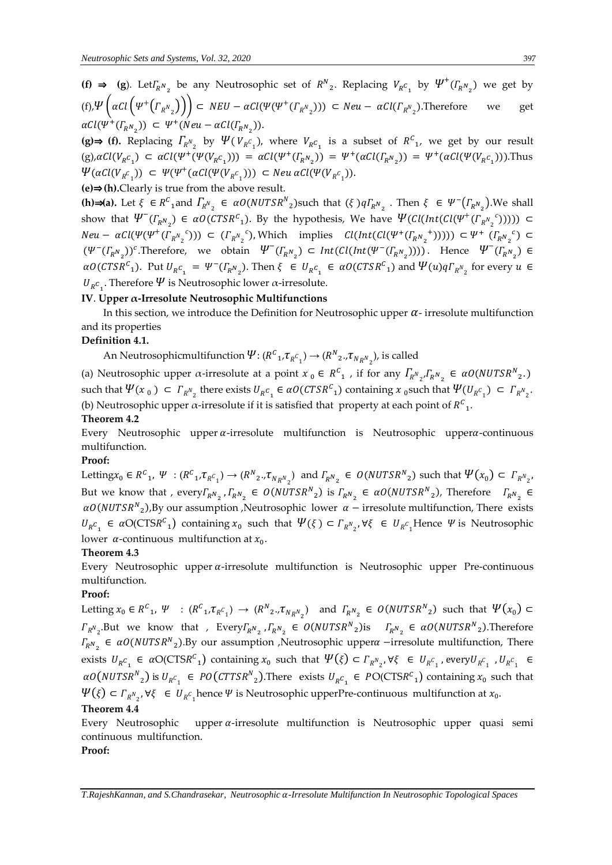**(f) ⇒ (g).** Let  $\Gamma_{R^N_2}$  be any Neutrosophic set of  $R^N_2$ . Replacing  $V_{R^C_1}$  by  $\Psi^+(T_{R^N_2})$  we get by (f),  $\Psi\left(\alpha Cl\left(\Psi^+\left(\Gamma_{R^N{}_2}\right)\right)\right) \subset NEU - \alpha Cl(\Psi(\Psi^+\left(\Gamma_{R^N{}_2}\right))) \subset Neu - \alpha Cl(\Gamma_{R^N{}_2})$ . Therefore we get  $\alpha Cl(\Psi^+(T_{R^N_2})) \subset \Psi^+(Neu - \alpha Cl(T_{R^N_2})).$ 

(g)⇒ (f). Replacing  $\Gamma_{R^N_2}$  by  $\Psi(V_{R^C_1})$ , where  $V_{R^C_1}$  is a subset of  $R^C_1$ , we get by our result (g), $\alpha Cl(V_{R}c_1) \subset \alpha Cl(\Psi^+(\Psi(V_{R}c_1))) = \alpha Cl(\Psi^+(T_{R}N_2)) = \Psi^+(\alpha Cl(T_{R}N_2)) = \Psi^+(\alpha Cl(\Psi(V_{R}c_1))).$  Thus  $\Psi(\alpha \text{Cl}(V_{R^{\mathcal{C}}_1})) \subset \Psi(\Psi^+(\alpha \text{Cl}(\Psi(V_{R^{\mathcal{C}}_1}))) \subset \text{Neu} \alpha \text{Cl}(\Psi(V_{R^{\mathcal{C}}_1})).$ 

**(e)**⇒ **(h).**Clearly is true from the above result.

**(h)⇒(a).** Let  $\xi$  ∈  $R^c$ <sub>1</sub> and  $\Gamma_{R^N}$  ∈  $\alpha O(NUTSR^N)$ such that  $(\xi) q \Gamma_{R^N}$  Then  $\xi$  ∈  $\Psi$ <sup>-</sup> $(\Gamma_{R^N}$ <sub>2</sub> $)$ . We shall show that  $\Psi^-(\Gamma_{R^N_2}) \in \alpha O(CTSR^C_1)$ . By the hypothesis, We have  $\Psi(Cl(int(Cl(\Psi^+(P_{R^N_2})))$  $^c$ )))))) ⊂  $Neu - \alpha Cl(\Psi(\Psi^+( {\Gamma_{\scriptscriptstyle R}}{}^{\scriptscriptstyle N})_2$ <sup>c</sup>))) ⊂  $(\Gamma_{R^N}{}_{2})$ <sup>c</sup>), Which implies  $Cl(int(Cl(\Psi^+(T_{R^N})$ <sup>+</sup>)))))) ⊂  $\Psi^+$  ( $\varGamma_{_R N_{_2}}$  $(c)$  ⊂  $(\Psi^-(\Gamma_{R^N_2}))^c$ . Therefore, we obtain  $\Psi^-(\Gamma_{R^N_2}) \subset Int(ClInt(\Psi^-(\Gamma_{R^N_2}))))$ . Hence  $\Psi^-(\Gamma_{R^N_2}) \in$  $\alpha O(CTSR^c_1)$ . Put  $U_{R^c_1} = \Psi^{-}(I_{R^N_2})$ . Then  $\xi \in U_{R^c_1} \in \alpha O(CTSR^c_1)$  and  $\Psi(u)qI_{R^N_2}$  for every  $u \in$  $U_{R}c_{1}$ . Therefore  $\Psi$  is Neutrosophic lower α-irresolute.

### **IV**. **Upper α-Irresolute Neutrosophic Multifunctions**

In this section, we introduce the Definition for Neutrosophic upper  $\alpha$ - irresolute multifunction and its properties

### **Definition 4.1.**

An Neutrosophicmultifunction  $\Psi: (R^c{}_1, \tau_{R^c{}_1}) \to (R^N{}_2, \tau_{N_R N}{}_2)$ , is called

(a) Neutrosophic upper  $\alpha$ -irresolute at a point  $x_0 \in R^c_1$ , if for any  $\Gamma_{R^N{}_2}$ ,  $\Gamma_{R^N{}_2}$   $\in \alpha O(NUTSR^N{}_2)$ . such that  $\Psi(x_0) \subset \Gamma_{R^N_2}$  there exists  $U_{R^C_1} \in aO(CTSR^C_1)$  containing  $x_0$  such that  $\Psi(U_{R^C_1}) \subset \Gamma_{R^N_2}$ . (b) Neutrosophic upper  $\alpha$ -irresolute if it is satisfied that property at each point of  $R^c_{1}$ .

#### **Theorem 4.2**

Every Neutrosophic upper  $\alpha$ -irresolute multifunction is Neutrosophic upper $\alpha$ -continuous multifunction.

#### **Proof:**

Letting $x_0 \in R^C$ <sub>1</sub>,  $\Psi$  :  $(R^C{}_1, \tau_{R^C{}_1}) \rightarrow (R^N{}_2, \tau_{N_R N_2})$  and  $\Gamma_{R^N{}_2} \in O(NUTSR^N{}_2)$  such that  $\Psi(x_0) \subset \Gamma_{R^N{}_2}$ , But we know that ,  $everyF_{R^N_2}$ ,  $\Gamma_{R^N_2} \in O(NUTSR^N)_2$  is  $\Gamma_{R^N_2} \in \alpha O(NUTSR^N)_2$ , Therefore  $\Gamma_{R^N_2} \in$  $\alpha O(NUTSR^{N}{}_{2})$ , By our assumption , Neutrosophic lower  $\alpha$  – irresolute multifunction, There exists  $U_{R}c_1 \in \alpha O(CTSR^c_1)$  containing  $x_0$  such that  $\Psi(\xi) \subset \Gamma_{R^N_{2}}$ ,  $\forall \xi \in U_{R^c_{1}}$ Hence  $\Psi$  is Neutrosophic lower  $\alpha$ -continuous multifunction at  $x_0$ .

#### **Theorem 4.3**

Every Neutrosophic upper  $\alpha$ -irresolute multifunction is Neutrosophic upper Pre-continuous multifunction.

### **Proof:**

Letting  $x_0 \in R^C_1$ ,  $\Psi$  :  $(R^C{}_1, \tau_{R^C{}_1}) \to (R^N{}_2, \tau_{N_R N_2})$  and  $\Gamma_{R^N{}_2} \in O(NUTSR^N{}_2)$  such that  $\Psi(x_0) \subset$  $\Gamma_{R^{N_2}}$ .But we know that , Every $\Gamma_{R^{N_2}}$ ,  $\Gamma_{R^{N_2}} \in O(NUTSR^{N_2})$ is  $\Gamma_{R^{N_2}} \in \alpha O(NUTSR^{N_2})$ .Therefore  $T_{R^N_2}$  ∈  $\alpha O(NUTSR^N_2)$ . By our assumption , Neutrosophic upper  $\alpha$  –irresolute multifunction, There exists  $U_{R}c_1 \in \alpha O(CT S R^c_1)$  containing  $x_0$  such that  $\Psi(\xi) \subset \Gamma_{R^N_{2}}$ ,  $\forall \xi \in U_{R^c_1}$ , every  $U_{R^c_1}$ ,  $U_{R^c_1} \in$  $\alpha O(NUTSR^{N}{}_{2})$  is  $U_{R^{C}{}_{1}} \in PO(CTTSR^{N}{}_{2})$ . There exists  $U_{R^{C}{}_{1}} \in PO(CTSR^{C}{}_{1})$  containing  $x_{0}$  such that  $\Psi(\xi) \subset \Gamma_{R^N{}_2}$ , ∀ξ ∈  $U_{R^C{}_1}$ hence Ψ is Neutrosophic upperPre-continuous multifunction at  $x_0$ .

#### **Theorem 4.4**

Every Neutrosophic upper  $\alpha$ -irresolute multifunction is Neutrosophic upper quasi semi continuous multifunction.

### **Proof:**

*T.RajeshKannan, and S.Chandrasekar, Neutrosophic -Irresolute Multifunction In Neutrosophic Topological Spaces*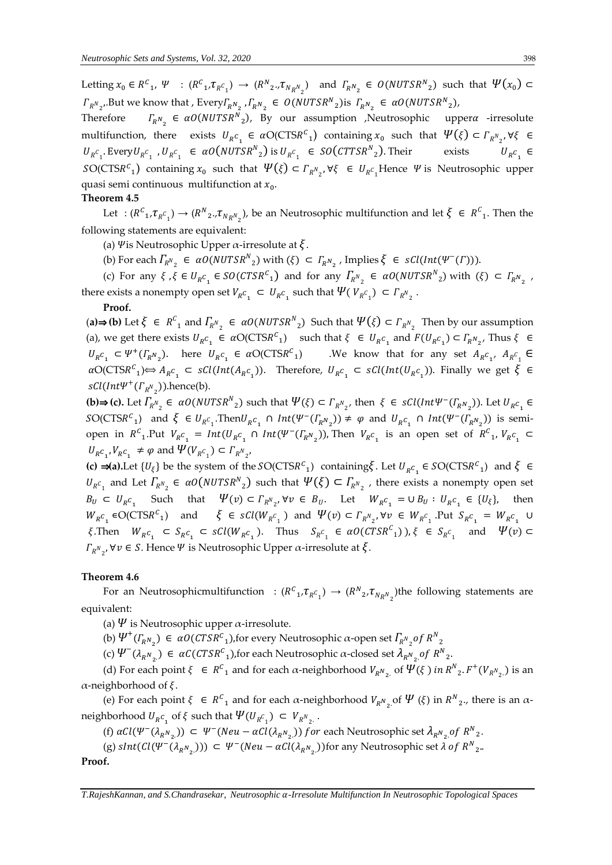Letting  $x_0 \in R^C_1$ ,  $\Psi$  :  $(R^C_1, \tau_{R^C_1}) \to (R^N_2, \tau_{N_R N_2})$  and  $\Gamma_{R^N_2} \in O(NUTSR^N_2)$  such that  $\Psi(x_0) \subset$  $\Gamma_{R^N_{2}}$ , But we know that , Every  $\Gamma_{R^N_{2}}$  ,  $\Gamma_{R^N_{2}} \in O(NUTSR^N_{2})$  is  $\Gamma_{R^N_{2}} \in \alpha O(NUTSR^N_{2})$ ,

Therefore  $N_2$  ∈  $\alpha$ O(NUTSR<sup>N</sup><sub>2</sub>), By our assumption ,Neutrosophic upper a-irresolute multifunction, there exists  $U_{R}c_1 \in aO(CTSR^c_1)$  containing  $x_0$  such that  $\Psi(\xi) \subset \Gamma_{R^N_{2}}$ ,  $\forall \xi \in$  $U_{R^C}$ . Every $U_{R^C}$ ,  $U_{R^C}$   $\in \alpha O(NUTSR^N)_2$  is  $U_{R^C}$   $\in \text{SO}(CTTSR^N)_2$ . Their exists  $U_R$  $c_{1}$   $\in$  $SO(CTSR^c_1)$  containing  $x_0$  such that  $\Psi(\xi) \subset \Gamma_{R^N_2}$ ,  $\forall \xi \in U_{R^c_1}$ Hence  $\Psi$  is Neutrosophic upper quasi semi continuous multifunction at  $x_0$ .

#### **Theorem 4.5**

Let :  $(R^C_1, \tau_{R^C_1}) \to (R^N_2, \tau_{N_R N_2})$ , be an Neutrosophic multifunction and let  $\xi \in R^C_1$ . Then the following statements are equivalent:

(a)  $\psi$  is Neutrosophic Upper  $\alpha$ -irresolute at  $\xi$ .

(b) For each  $\Gamma_{R^N_2} \in aO(NUTSR^N_2)$  with  $(\xi) \subset \Gamma_{R^N_2}$ , Implies  $\xi \in sCl(int(\Psi^-(\Gamma))).$ 

(c) For any  $\xi$ ,  $\xi \in U_{R^C}$   $\in SO(CTSR^C)$  and for any  $\Gamma_{R^N}$   $\in \alpha O(NUTSR^N)_2$  with  $(\xi) \subset \Gamma_{R^N}$ , there exists a nonempty open set  $V_{R}c_1 \subset U_{R}c_1$  such that  $\Psi(V_{R}c_1) \subset \Gamma_{R^N_2}$ .

#### **Proof.**

(a)⇒(b) Let  $\xi$  ∈  $R^C$ <sub>1</sub> and  $\Gamma_{R^N}$ <sub>2</sub> ∈  $\alpha O(NUTSR^N$ <sub>2</sub>) Such that  $\Psi(\xi)$  ⊂  $\Gamma_{R^N}$ <sub>2</sub> Then by our assumption (a), we get there exists  $U_{R}c_1 \in \alpha O(CTSR^c_1)$  such that  $\xi \in U_{R}c_1$  and  $F(U_{R}c_1) \subset \Gamma_{R}N_{2}$ , Thus  $\xi \in$  $U_{R}c_1 \subset \Psi^+(F_{R^N_2})$ . here  $U_{R}c_1 \in \alpha O(CTSR^C_1)$  We know that for any set  $A_{R}c_1$ ,  $A_{R}c_1 \in$  $aO(CTSR^c_1) \Leftrightarrow A_R c_1 \subset sCl(int(A_R c_1))$ . Therefore,  $U_R c_1 \subset sCl(int(U_R c_1))$ . Finally we get  $\xi \in$  $\mathit{sCl}(\mathit{Int}\Psi^+(\Gamma_{R^N_2}))$ .hence(b).

**(b)⇒ (c).** Let  $\Gamma_{R^{N_2}} \in \alpha O(NUTSR^{N_2})$  such that  $\Psi(\xi) \subset \Gamma_{R^{N_2}}$ , then  $\xi \in \mathcal{SU}(Int\Psi^{-}(T_{R^{N_2}}))$ . Let  $U_{R^{C_1}} \in$  $SO(CTSR^c_1)$  and  $\xi \in U_{R^c_1}$ . Then  $U_{R^c_1} \cap Int(\Psi^-(\Gamma_{R^N_2})) \neq \varphi$  and  $U_{R^c_1} \cap Int(\Psi^-(\Gamma_{R^N_2}))$  is semiopen in  $R^c_1$ . Put  $V_{R^c_1} = Int(U_{R^c_1} \cap Int(\Psi^-(\Gamma_{R^N_2}))$ , Then  $V_{R^c_1}$  is an open set of  $R^c_1$ ,  $V_{R^c_1} \subset$  $U_{R}c_{1}$ ,  $V_{R}c_{1} \neq \varphi$  and  $\Psi(V_{R}c_{1}) \subset \Gamma_{R^{N}2}$ ,

**(c) ⇒(a).**Let  $\{U_\xi\}$  be the system of the SO(CTSR<sup>C</sup><sub>1</sub>) containing  $\xi$ . Let  $U_{R}c_1 \in SO(CTSRC_1)$  and  $\xi \in$  $U_{R^C}$  and Let  $\Gamma_{R^N}$   $\in$   $\alpha O(NUTSR^N)_2$  such that  $\Psi(\xi) \subset \Gamma_{R^N}$ , there exists a nonempty open set  $B_U \subset U_{R^C_1}$  Such that  $\Psi(v) \subset \Gamma_{R^N{}_2}$ ,  $\forall v \in B_U$ . Let  $W_{R^C{}_1} = \cup B_U : U_{R^C{}_1} \in \{U_\xi\}$ , then  $W_{R}c_1 \in O(CTSR^C_1)$  and  $\xi \in sCl(W_{R}c_1)$  and  $\Psi(v) \subset \Gamma_{R^N_2}$ ,  $\forall v \in W_{R^C_1}$ . Put  $S_{R}c_1 = W_{R^C_1}$   $\cup$  $\xi$ . Then  $W_{R^c_1} \subset S_{R^c_1} \subset sCl(W_{R^c_1})$ . Thus  $S_{R^c_1} \in \alpha O(CTSR^c_1)$ ,  $\xi \in S_{R^c_1}$  and  $\Psi(v) \subset$  $\Gamma_{R^N_{2}}$ , ∀ $v \in S$ . Hence Ψ is Neutrosophic Upper  $\alpha$ -irresolute at  $\xi$ .

#### **Theorem 4.6**

For an Neutrosophicmultifunction :  $(R^C{}_1, \tau_{R^C{}_1}) \to (R^N{}_2, \tau_{N_R N}^{})$  the following statements are equivalent:

- (a)  $\Psi$  is Neutrosophic upper  $\alpha$ -irresolute.
- (b)  $\Psi^+(I_{R^N_2}) \in \alpha O(CTSR^C_1)$ ,for every Neutrosophic  $\alpha$ -open set  $\Gamma_{R^N_2}$ of  $R^N_2$
- (c)  $\Psi^-(\lambda_{R^N_{2,2}}) \in \alpha C (CTSR^c_{1}),$  for each Neutrosophic  $\alpha$ -closed set  $\lambda_{R^N_{2,2}}$  of  $R^N_{2,2}$

(d) For each point  $\xi \in R^C$  and for each  $\alpha$ -neighborhood  $V_{R^N_{2}}$  of  $\Psi(\xi)$  in  $R^N_{2}$ .  $F^+(V_{R^N_{2}})$  is an α-neighborhood of  $ξ$ .

(e) For each point  $\xi \in R^C_1$  and for each  $\alpha$ -neighborhood  $V_{R^N_2}$  of  $\Psi(\xi)$  in  $R^N_2$ ., there is an  $\alpha$ neighborhood  $U_{R}c_1$  of  $\xi$  such that  $\Psi(U_{R}c_1) \subset V_{R^N_{2}}$ .

(f)  $\alpha Cl(\Psi^-(\lambda_{R^N_2})) \subset \Psi^-(Neu - \alpha Cl(\lambda_{R^N_2}))$  for each Neutrosophic set  $\lambda_{R^N_2}$  of  $R^N_2$ .

(g)  $sInt(Cl(\Psi^-(\lambda_{R^N_2}))) \subset \Psi^-(Neu - \alpha Cl(\lambda_{R^N_2}))$  for any Neutrosophic set  $\lambda$  of  $R^N_2$ .

**Proof.**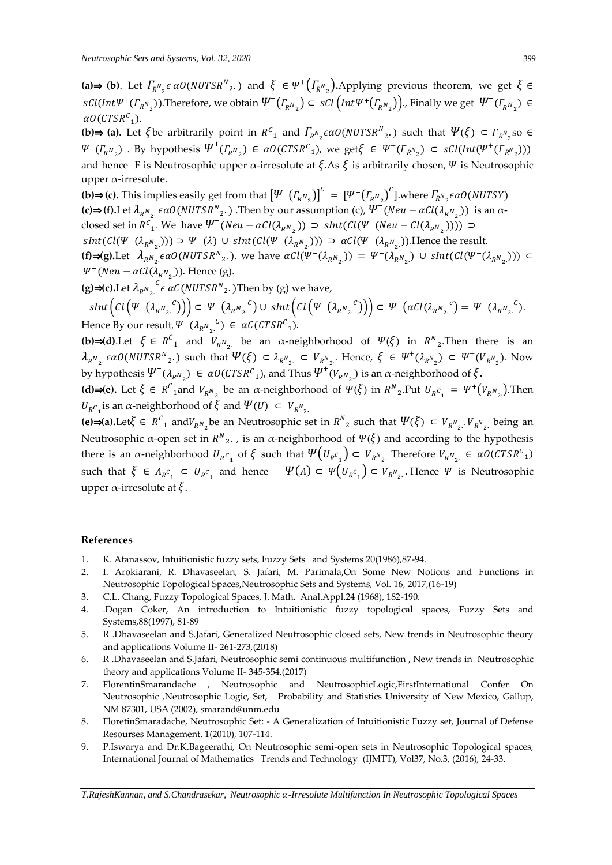(a)⇒ (b). Let  $\Gamma_{R^N{}_2} \epsilon \alpha O(NUTSR^N{}_2)$  and  $\xi \in \Psi^+\big(\Gamma_{R^N{}_2}\big)$ . Applying previous theorem, we get  $\xi \in \Psi^+\big(\Gamma_{R^N{}_2}\big)$  $sCl(int \Psi^+( \Gamma_{R^N_2}))$ .Therefore, we obtain  $\Psi^+( \Gamma_{R^N_2}) \subset \, sCl\left(int \Psi^+ (\Gamma_{R^N_2})\right)$ ., Finally we get  $\, \Psi^+ (\Gamma_{R^N_2}) \, \in$  $\alpha$ O(CTSR<sup>C</sup><sub>1</sub>).

**(b)⇒ (a).** Let  $\xi$ be arbitrarily point in  $R^c$ <sub>1</sub> and  $\Gamma_{R^N}$ <sub> $\epsilon$ </sub> $\alpha O(NUTSR^N$ <sub>2</sub>.) such that  $\Psi(\xi) \subset \Gamma_{R^N}$ <sub>2</sub>so ∈  $\Psi^+(I_{R^N_2})$  . By hypothesis  $\Psi^+(I_{R^N_2}) \in \alpha O(CTSR^C_1)$ , we get  $\xi \in \Psi^+(I_{R^N_2}) \subset \mathcal{SU}(Int(\Psi^+(I_{R^N_2})))$ and hence F is Neutrosophic upper  $\alpha$ -irresolute at  $\xi$ . As  $\xi$  is arbitrarily chosen,  $\Psi$  is Neutrosophic upper α-irresolute.

**(b)⇒(c).** This implies easily get from that  $\left[\Psi^{-}\left(\varGamma_{_{R}N_{_{2}}}\right)\right]^{c} = \left[\Psi^{+}\left(\varGamma_{_{R}N_{_{2}}}\right)^{c}\right]$ .where  $\varGamma_{_{R}N_{_{2}}\epsilon\alpha}O(NUTSY)$ **(c)⇒ (f)**.Let  $\lambda_{R^N_2}$   $\in \alpha O(NUTSR^N_2)$ . Then by our assumption (c),  $\Psi^-(Neu - \alpha Cl(\lambda_{R^N_2}))$  is an αclosed set in  $R_{1}^{c}$ . We have  $\Psi^{-}(Neu - \alpha Cl(\lambda_{R_{1}^{N}})) \supset \text{slnt}(Cl(\Psi^{-}(Neu - Cl(\lambda_{R_{2}^{N}}))) \supset$  $sInt(Cl(\Psi^-(\lambda_{R^N_2}))) \supset \Psi^-(\lambda) \cup shnt(Cl(\Psi^-(\lambda_{R^N_2}))) \supset \alpha Cl(\Psi^-(\lambda_{R^N_2}))$ . Hence the result. **(f)⇒(g).Let**  $\lambda_{R_{\lambda_{2}}}\epsilon \alpha O(NUTSR_{\lambda_{2}})$ , we have  $\alpha Cl(\Psi^{-}(\lambda_{R_{\lambda_{2}}})) = \Psi^{-}(\lambda_{R_{\lambda_{2}}}) \cup \text{sInt}(Cl(\Psi^{-}(\lambda_{R_{\lambda_{2}}})) ) \subset$  $\Psi^-(Neu - \alpha Cl(\lambda_{R^N_{2}}))$ . Hence (g).

**(g)⇒(c).**Let  $\lambda_{R^N_2}$ .  $^{\mathcal{C}}$ e a $\mathcal{C}(NUTSR^N_{2^{\text{c}}}.)$ Then by (g) we have,

 $\mathcal{L}_{S}(\mathcal{L}_{I}(\Psi^{-1}(\lambda_{R^{N_{2}}})^{\mathbb{C}}))\subset \Psi^{-1}(\lambda_{R^{N_{2}}})^{\mathbb{C}}\cup\mathcal{L}_{S}(\Psi^{-1}(\lambda_{R^{N_{2}}})^{\mathbb{C}}))\subset \Psi^{-1}(\alpha\mathcal{L}_{I}(\lambda_{R^{N_{2}}})^{\mathbb{C}}\subset \Psi^{-1}(\lambda_{R^{N_{2}}})^{\mathbb{C}}\subset \mathcal{L}_{S}(\mathcal{L}_{S}(\mathcal{L}_{R^{N_{2}}})^{\mathbb{C}}\subset \mathcal{L}_{S}(\mathcal{L}_{S}(\mathcal{L}_{R^{N_{$ Hence By our result,  $\Psi^{-}(\lambda_{R_{\alpha_{2}}}^{C}) \in \alpha C (CTSR_{1}^{C})$ .

**(b)⇒(d)**.Let  $\xi \in R^C$  and  $V_{R^N}$  be an  $\alpha$ -neighborhood of  $\Psi(\xi)$  in  $R^N$ <sub>2</sub>. Then there is an  $\lambda_{R_{2}}$   $\epsilon \alpha O(NUTSR_{2}^N)$  such that  $\Psi(\xi) \subset \lambda_{R_{2}^N} \subset V_{R_{2}^N}$ . Hence,  $\xi \in \Psi^+(\lambda_{R_{2}^N}) \subset \Psi^+(V_{R_{2}^N})$ . Now by hypothesis  $\Psi^+(\lambda_{R^N_2}) \in a\mathcal{O}(CTSR^C_1)$ , and Thus  $\Psi^+(V_{R^N_2})$  is an  $\alpha$ -neighborhood of  $\xi$ .

**(d)⇒(e).** Let  $\xi \in R^C$ <sub>1</sub> and  $V_{R^N_2}$  be an  $\alpha$ -neighborhood of  $\Psi(\xi)$  in  $R^N{}_2$ . Put  $U_{R^C_1} = \Psi^+(V_{R^N_2})$ . Then  $U_{R}c_{1}$  is an α-neighborhood of ξ and  $\Psi$ (U) ⊂  $V_{R}N_{2}$ .

**(e)⇒(a).**Let  $\xi \in R^C$ <sub>1</sub> and  $V_{R^N}$  be an Neutrosophic set in  $R^N$ <sub>2</sub> such that  $\Psi(\xi) \subset V_{R^N}$ <sub>2</sub>.  $V_{R^N}$ <sub>2</sub> being an Neutrosophic α-open set in  $R^N$ <sub>2</sub>., is an α-neighborhood of  $\Psi(\xi)$  and according to the hypothesis there is an  $\alpha$ -neighborhood  $U_{R}c_1$  of  $\xi$  such that  $\Psi(U_{R}c_1) \subset V_{R^N{}_2}$ . Therefore  $V_{R^N{}_2} \in \alpha O(CTSR^C{}_1)$ such that  $\xi \in A_{R^C_1} \subset U_{R^C_1}$  and hence  $\Psi(A) \subset \Psi(U_{R^C_1}) \subset V_{R^N_2}$ . Hence  $\Psi$  is Neutrosophic upper  $\alpha$ -irresolute at  $\xi$ .

#### **References**

- 1. K. Atanassov, Intuitionistic fuzzy sets, Fuzzy Sets and Systems 20(1986),87-94.
- 2. I. Arokiarani, R. Dhavaseelan, S. Jafari, M. Parimala,On Some New Notions and Functions in Neutrosophic Topological Spaces,Neutrosophic Sets and Systems, Vol. 16, 2017,(16-19)
- 3. C.L. Chang, Fuzzy Topological Spaces, J. Math. Anal.Appl.24 (1968), 182-190.
- 4. .Dogan Coker, An introduction to Intuitionistic fuzzy topological spaces, Fuzzy Sets and Systems,88(1997), 81-89
- 5. R .Dhavaseelan and S.Jafari, Generalized Neutrosophic closed sets, New trends in Neutrosophic theory and applications Volume II- 261-273,(2018)
- 6. R .Dhavaseelan and S.Jafari, Neutrosophic semi continuous multifunction , New trends in Neutrosophic theory and applications Volume II- 345-354,(2017)
- 7. FlorentinSmarandache , Neutrosophic and NeutrosophicLogic,FirstInternational Confer On Neutrosophic ,Neutrosophic Logic, Set, Probability and Statistics University of New Mexico, Gallup, NM 87301, USA (2002), smarand@unm.edu
- 8. FloretinSmaradache, Neutrosophic Set: A Generalization of Intuitionistic Fuzzy set, Journal of Defense Resourses Management. 1(2010), 107-114.
- 9. P.Iswarya and Dr.K.Bageerathi, On Neutrosophic semi-open sets in Neutrosophic Topological spaces, International Journal of Mathematics Trends and Technology (IJMTT), Vol37, No.3, (2016), 24-33.